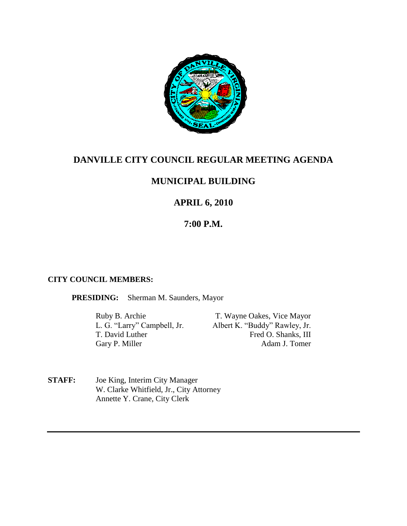

# **DANVILLE CITY COUNCIL REGULAR MEETING AGENDA**

## **MUNICIPAL BUILDING**

# **APRIL 6, 2010**

## **7:00 P.M.**

### **CITY COUNCIL MEMBERS:**

**PRESIDING:** Sherman M. Saunders, Mayor

Ruby B. Archie T. Wayne Oakes, Vice Mayor<br>
L. G. "Larry" Campbell, Jr. Albert K. "Buddy" Rawley, Jr. Albert K. "Buddy" Rawley, Jr. T. David Luther Fred O. Shanks, III Gary P. Miller Adam J. Tomer

**STAFF:** Joe King, Interim City Manager W. Clarke Whitfield, Jr., City Attorney Annette Y. Crane, City Clerk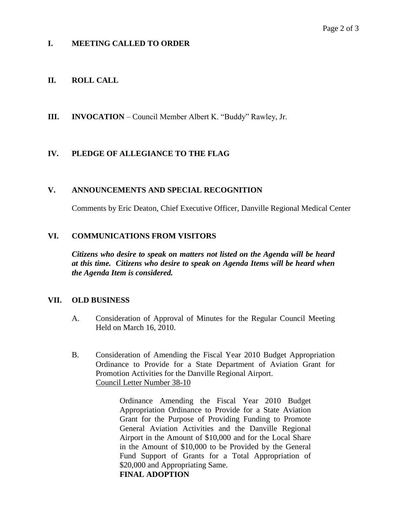## **I. MEETING CALLED TO ORDER**

## **II. ROLL CALL**

**III. INVOCATION** – Council Member Albert K. "Buddy" Rawley, Jr.

## **IV. PLEDGE OF ALLEGIANCE TO THE FLAG**

### **V. ANNOUNCEMENTS AND SPECIAL RECOGNITION**

Comments by Eric Deaton, Chief Executive Officer, Danville Regional Medical Center

### **VI. COMMUNICATIONS FROM VISITORS**

*Citizens who desire to speak on matters not listed on the Agenda will be heard at this time. Citizens who desire to speak on Agenda Items will be heard when the Agenda Item is considered.*

### **VII. OLD BUSINESS**

- A. Consideration of Approval of Minutes for the Regular Council Meeting Held on March 16, 2010.
- B. Consideration of Amending the Fiscal Year 2010 Budget Appropriation Ordinance to Provide for a State Department of Aviation Grant for Promotion Activities for the Danville Regional Airport. Council Letter Number 38-10

Ordinance Amending the Fiscal Year 2010 Budget Appropriation Ordinance to Provide for a State Aviation Grant for the Purpose of Providing Funding to Promote General Aviation Activities and the Danville Regional Airport in the Amount of \$10,000 and for the Local Share in the Amount of \$10,000 to be Provided by the General Fund Support of Grants for a Total Appropriation of \$20,000 and Appropriating Same. **FINAL ADOPTION**